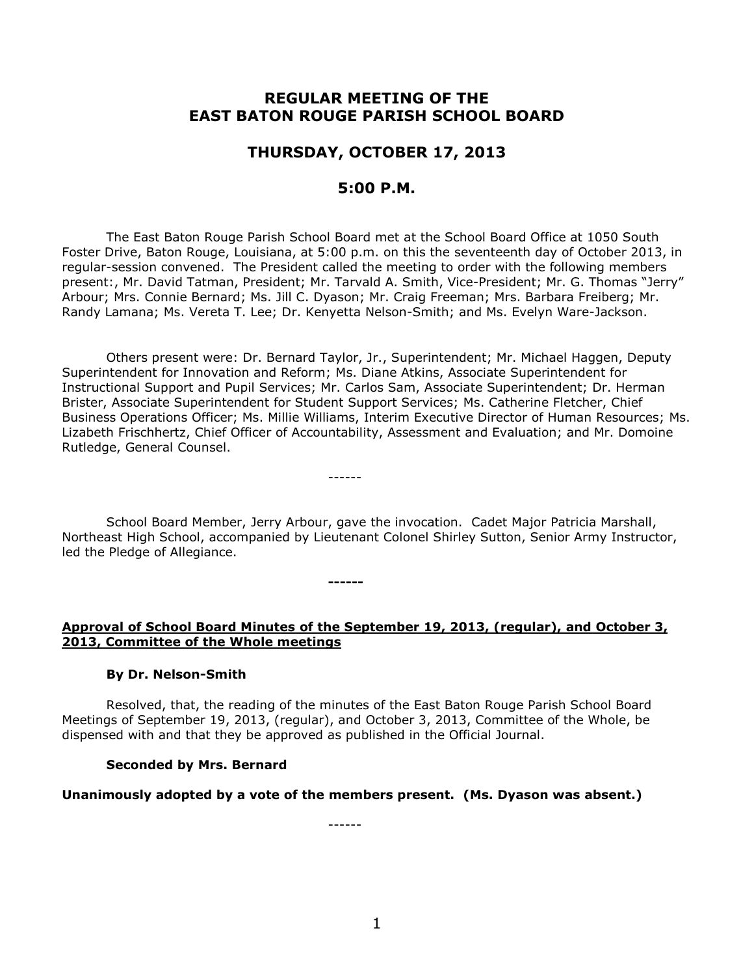# **REGULAR MEETING OF THE EAST BATON ROUGE PARISH SCHOOL BOARD**

# **THURSDAY, OCTOBER 17, 2013**

## **5:00 P.M.**

The East Baton Rouge Parish School Board met at the School Board Office at 1050 South Foster Drive, Baton Rouge, Louisiana, at 5:00 p.m. on this the seventeenth day of October 2013, in regular-session convened. The President called the meeting to order with the following members present:, Mr. David Tatman, President; Mr. Tarvald A. Smith, Vice-President; Mr. G. Thomas "Jerry" Arbour; Mrs. Connie Bernard; Ms. Jill C. Dyason; Mr. Craig Freeman; Mrs. Barbara Freiberg; Mr. Randy Lamana; Ms. Vereta T. Lee; Dr. Kenyetta Nelson-Smith; and Ms. Evelyn Ware-Jackson.

Others present were: Dr. Bernard Taylor, Jr., Superintendent; Mr. Michael Haggen, Deputy Superintendent for Innovation and Reform; Ms. Diane Atkins, Associate Superintendent for Instructional Support and Pupil Services; Mr. Carlos Sam, Associate Superintendent; Dr. Herman Brister, Associate Superintendent for Student Support Services; Ms. Catherine Fletcher, Chief Business Operations Officer; Ms. Millie Williams, Interim Executive Director of Human Resources; Ms. Lizabeth Frischhertz, Chief Officer of Accountability, Assessment and Evaluation; and Mr. Domoine Rutledge, General Counsel.

School Board Member, Jerry Arbour, gave the invocation. Cadet Major Patricia Marshall, Northeast High School, accompanied by Lieutenant Colonel Shirley Sutton, Senior Army Instructor, led the Pledge of Allegiance.

------

**------**

**Approval of School Board Minutes of the September 19, 2013, (regular), and October 3, 2013, Committee of the Whole meetings**

## **By Dr. Nelson-Smith**

Resolved, that, the reading of the minutes of the East Baton Rouge Parish School Board Meetings of September 19, 2013, (regular), and October 3, 2013, Committee of the Whole, be dispensed with and that they be approved as published in the Official Journal.

#### **Seconded by Mrs. Bernard**

#### **Unanimously adopted by a vote of the members present. (Ms. Dyason was absent.)**

------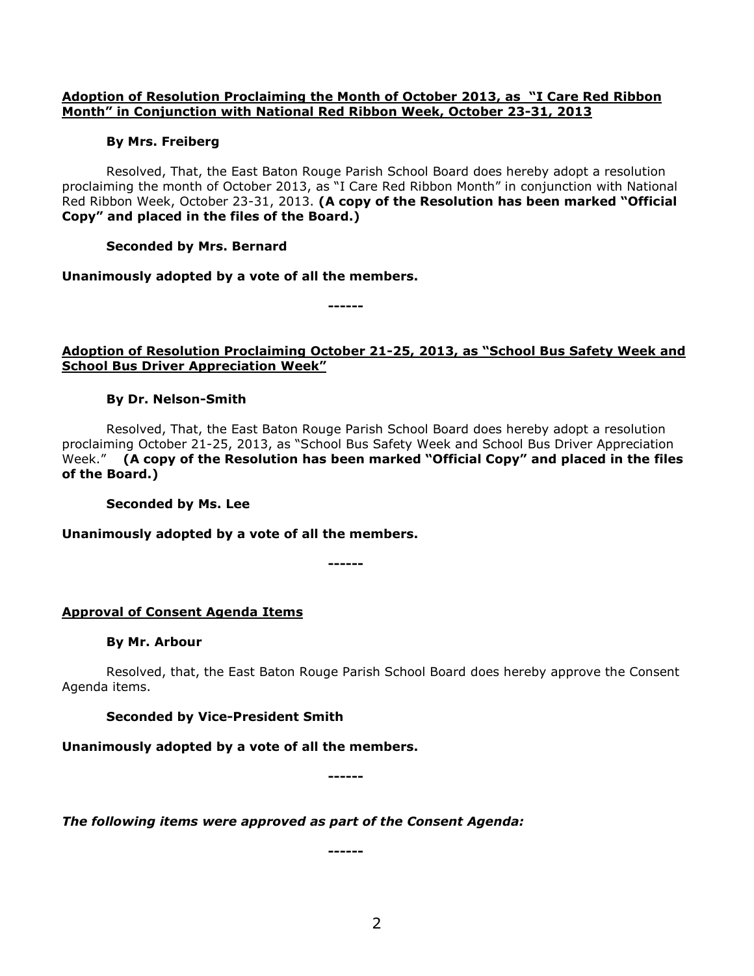## **Adoption of Resolution Proclaiming the Month of October 2013, as "I Care Red Ribbon Month" in Conjunction with National Red Ribbon Week, October 23-31, 2013**

## **By Mrs. Freiberg**

Resolved, That, the East Baton Rouge Parish School Board does hereby adopt a resolution proclaiming the month of October 2013, as "I Care Red Ribbon Month" in conjunction with National Red Ribbon Week, October 23-31, 2013. **(A copy of the Resolution has been marked "Official Copy" and placed in the files of the Board.)**

## **Seconded by Mrs. Bernard**

**Unanimously adopted by a vote of all the members.**

**------**

## **Adoption of Resolution Proclaiming October 21-25, 2013, as "School Bus Safety Week and School Bus Driver Appreciation Week"**

## **By Dr. Nelson-Smith**

Resolved, That, the East Baton Rouge Parish School Board does hereby adopt a resolution proclaiming October 21-25, 2013, as "School Bus Safety Week and School Bus Driver Appreciation Week." **(A copy of the Resolution has been marked "Official Copy" and placed in the files of the Board.)**

**Seconded by Ms. Lee**

**Unanimously adopted by a vote of all the members.**

**------**

## **Approval of Consent Agenda Items**

## **By Mr. Arbour**

Resolved, that, the East Baton Rouge Parish School Board does hereby approve the Consent Agenda items.

## **Seconded by Vice-President Smith**

**Unanimously adopted by a vote of all the members.**

**------**

*The following items were approved as part of the Consent Agenda:*

**------**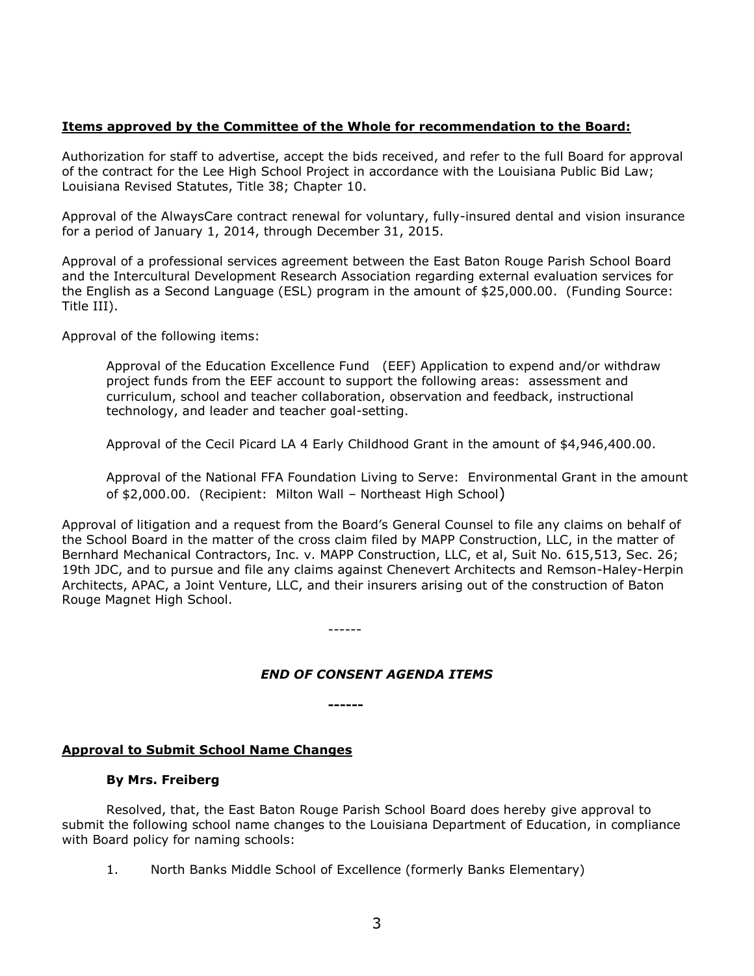## **Items approved by the Committee of the Whole for recommendation to the Board:**

Authorization for staff to advertise, accept the bids received, and refer to the full Board for approval of the contract for the Lee High School Project in accordance with the Louisiana Public Bid Law; Louisiana Revised Statutes, Title 38; Chapter 10.

Approval of the AlwaysCare contract renewal for voluntary, fully-insured dental and vision insurance for a period of January 1, 2014, through December 31, 2015.

Approval of a professional services agreement between the East Baton Rouge Parish School Board and the Intercultural Development Research Association regarding external evaluation services for the English as a Second Language (ESL) program in the amount of \$25,000.00. (Funding Source: Title III).

Approval of the following items:

Approval of the Education Excellence Fund (EEF) Application to expend and/or withdraw project funds from the EEF account to support the following areas: assessment and curriculum, school and teacher collaboration, observation and feedback, instructional technology, and leader and teacher goal-setting.

Approval of the Cecil Picard LA 4 Early Childhood Grant in the amount of \$4,946,400.00.

Approval of the National FFA Foundation Living to Serve: Environmental Grant in the amount of \$2,000.00. (Recipient: Milton Wall – Northeast High School)

Approval of litigation and a request from the Board's General Counsel to file any claims on behalf of the School Board in the matter of the cross claim filed by MAPP Construction, LLC, in the matter of Bernhard Mechanical Contractors, Inc. v. MAPP Construction, LLC, et al, Suit No. 615,513, Sec. 26; 19th JDC, and to pursue and file any claims against Chenevert Architects and Remson-Haley-Herpin Architects, APAC, a Joint Venture, LLC, and their insurers arising out of the construction of Baton Rouge Magnet High School.

------

## *END OF CONSENT AGENDA ITEMS*

**------**

## **Approval to Submit School Name Changes**

## **By Mrs. Freiberg**

Resolved, that, the East Baton Rouge Parish School Board does hereby give approval to submit the following school name changes to the Louisiana Department of Education, in compliance with Board policy for naming schools:

1. North Banks Middle School of Excellence (formerly Banks Elementary)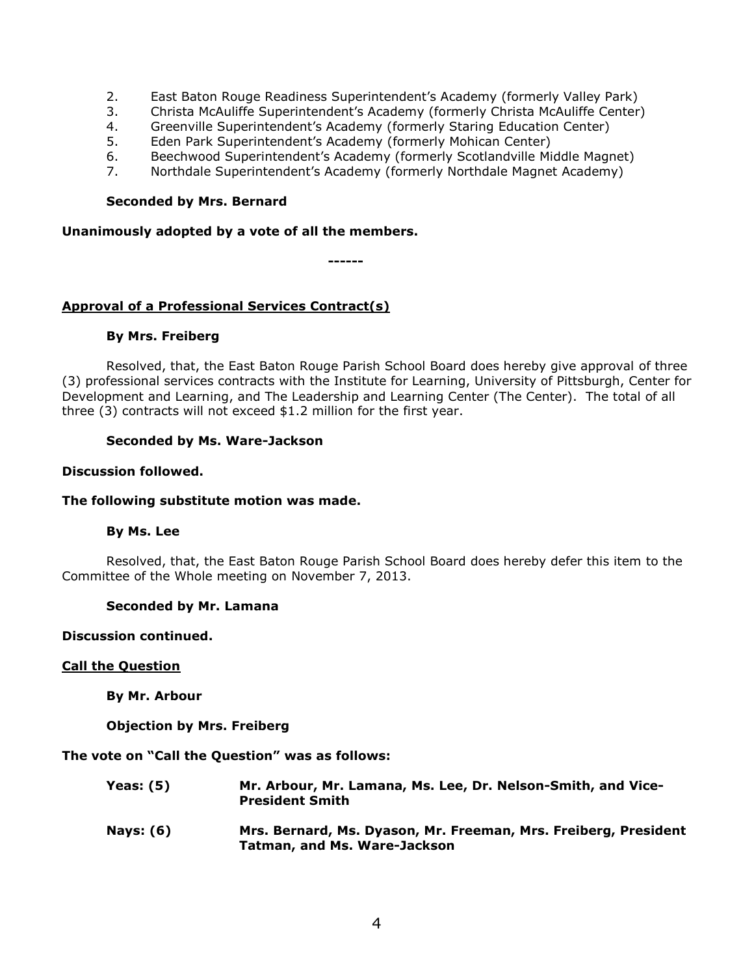- 2. East Baton Rouge Readiness Superintendent's Academy (formerly Valley Park)
- 3. Christa McAuliffe Superintendent's Academy (formerly Christa McAuliffe Center)
- 4. Greenville Superintendent's Academy (formerly Staring Education Center)
- 5. Eden Park Superintendent's Academy (formerly Mohican Center)
- 6. Beechwood Superintendent's Academy (formerly Scotlandville Middle Magnet)
- 7. Northdale Superintendent's Academy (formerly Northdale Magnet Academy)

#### **Seconded by Mrs. Bernard**

#### **Unanimously adopted by a vote of all the members.**

**------**

## **Approval of a Professional Services Contract(s)**

#### **By Mrs. Freiberg**

Resolved, that, the East Baton Rouge Parish School Board does hereby give approval of three (3) professional services contracts with the Institute for Learning, University of Pittsburgh, Center for Development and Learning, and The Leadership and Learning Center (The Center). The total of all three (3) contracts will not exceed \$1.2 million for the first year.

## **Seconded by Ms. Ware-Jackson**

#### **Discussion followed.**

## **The following substitute motion was made.**

## **By Ms. Lee**

Resolved, that, the East Baton Rouge Parish School Board does hereby defer this item to the Committee of the Whole meeting on November 7, 2013.

#### **Seconded by Mr. Lamana**

#### **Discussion continued.**

#### **Call the Question**

**By Mr. Arbour**

**Objection by Mrs. Freiberg**

**The vote on "Call the Question" was as follows:**

- **Yeas: (5) Mr. Arbour, Mr. Lamana, Ms. Lee, Dr. Nelson-Smith, and Vice-President Smith**
- **Nays: (6) Mrs. Bernard, Ms. Dyason, Mr. Freeman, Mrs. Freiberg, President Tatman, and Ms. Ware-Jackson**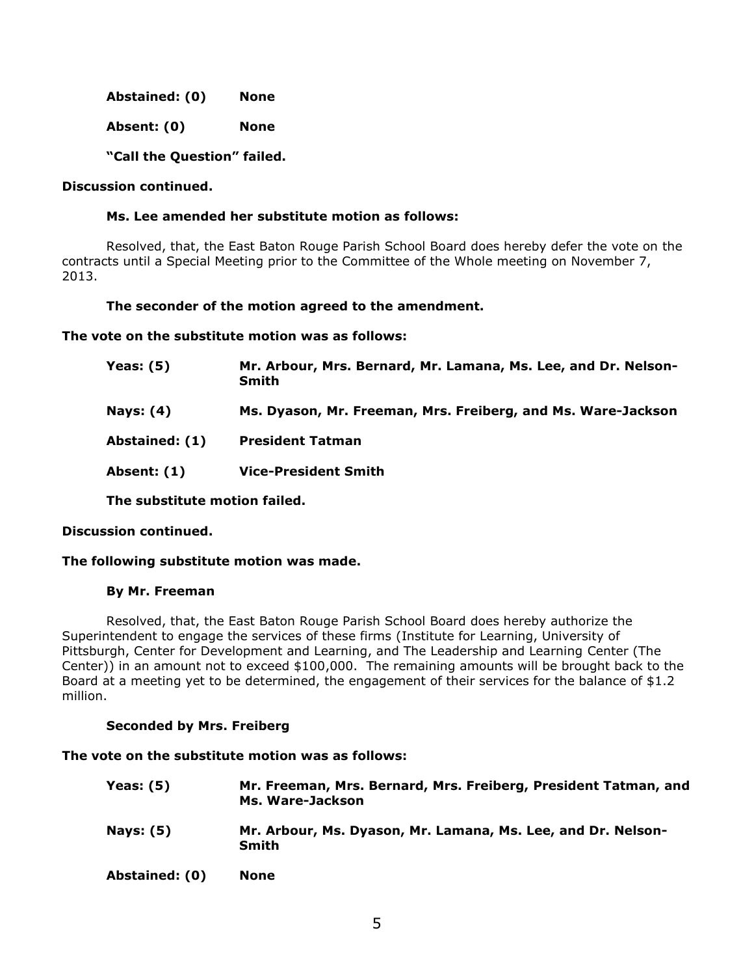**Abstained: (0) None**

**Absent: (0) None**

**"Call the Question" failed.** 

## **Discussion continued.**

## **Ms. Lee amended her substitute motion as follows:**

Resolved, that, the East Baton Rouge Parish School Board does hereby defer the vote on the contracts until a Special Meeting prior to the Committee of the Whole meeting on November 7, 2013.

## **The seconder of the motion agreed to the amendment.**

**The vote on the substitute motion was as follows:**

| <b>Yeas: (5)</b> | Mr. Arbour, Mrs. Bernard, Mr. Lamana, Ms. Lee, and Dr. Nelson-<br><b>Smith</b> |
|------------------|--------------------------------------------------------------------------------|
| <b>Nays: (4)</b> | Ms. Dyason, Mr. Freeman, Mrs. Freiberg, and Ms. Ware-Jackson                   |
| Abstained: (1)   | <b>President Tatman</b>                                                        |
| Absent: (1)      | <b>Vice-President Smith</b>                                                    |
|                  |                                                                                |

**The substitute motion failed.**

## **Discussion continued.**

## **The following substitute motion was made.**

## **By Mr. Freeman**

Resolved, that, the East Baton Rouge Parish School Board does hereby authorize the Superintendent to engage the services of these firms (Institute for Learning, University of Pittsburgh, Center for Development and Learning, and The Leadership and Learning Center (The Center)) in an amount not to exceed \$100,000. The remaining amounts will be brought back to the Board at a meeting yet to be determined, the engagement of their services for the balance of \$1.2 million.

## **Seconded by Mrs. Freiberg**

## **The vote on the substitute motion was as follows:**

| <b>Yeas: (5)</b> | Mr. Freeman, Mrs. Bernard, Mrs. Freiberg, President Tatman, and<br>Ms. Ware-Jackson |
|------------------|-------------------------------------------------------------------------------------|
| <b>Nays: (5)</b> | Mr. Arbour, Ms. Dyason, Mr. Lamana, Ms. Lee, and Dr. Nelson-<br><b>Smith</b>        |
| Abstained: (0)   | None                                                                                |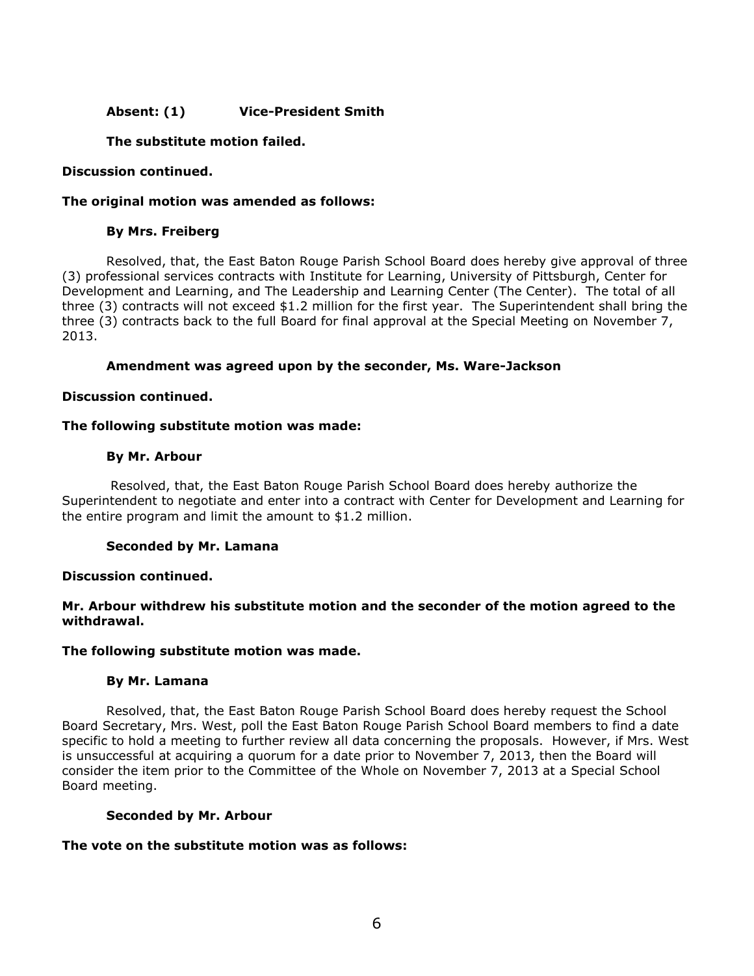## **Absent: (1) Vice-President Smith**

## **The substitute motion failed.**

## **Discussion continued.**

#### **The original motion was amended as follows:**

#### **By Mrs. Freiberg**

Resolved, that, the East Baton Rouge Parish School Board does hereby give approval of three (3) professional services contracts with Institute for Learning, University of Pittsburgh, Center for Development and Learning, and The Leadership and Learning Center (The Center). The total of all three (3) contracts will not exceed \$1.2 million for the first year. The Superintendent shall bring the three (3) contracts back to the full Board for final approval at the Special Meeting on November 7, 2013.

#### **Amendment was agreed upon by the seconder, Ms. Ware-Jackson**

#### **Discussion continued.**

#### **The following substitute motion was made:**

#### **By Mr. Arbour**

Resolved, that, the East Baton Rouge Parish School Board does hereby authorize the Superintendent to negotiate and enter into a contract with Center for Development and Learning for the entire program and limit the amount to \$1.2 million.

## **Seconded by Mr. Lamana**

#### **Discussion continued.**

## **Mr. Arbour withdrew his substitute motion and the seconder of the motion agreed to the withdrawal.**

#### **The following substitute motion was made.**

#### **By Mr. Lamana**

Resolved, that, the East Baton Rouge Parish School Board does hereby request the School Board Secretary, Mrs. West, poll the East Baton Rouge Parish School Board members to find a date specific to hold a meeting to further review all data concerning the proposals. However, if Mrs. West is unsuccessful at acquiring a quorum for a date prior to November 7, 2013, then the Board will consider the item prior to the Committee of the Whole on November 7, 2013 at a Special School Board meeting.

#### **Seconded by Mr. Arbour**

## **The vote on the substitute motion was as follows:**